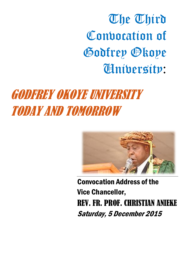# The Third Conporation of Godfrey Okoye University:

# GODFREY OKOYE UNIVERSITY TODAY AND TOMORROW



Convocation Address of the Vice Chancellor, REV. FR. PROF. CHRISTIAN ANIEKE Saturday, 5 December 2015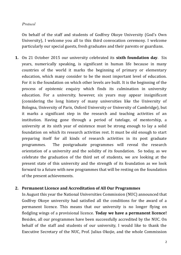#### *Protocol*

On behalf of the staff and students of Godfrey Okoye University (God's Own University), I welcome you all to this third convocation ceremony. I welcome particularly our special guests, fresh graduates and their parents or guardians.

**1.** On 21 October 2015 our university celebrated its **sixth foundation day**. Six years, numerically speaking, is significant in human life because in many countries of the world it marks the beginning of primary or elementary education, which many consider to be the most important level of education. For it is the foundation on which other levels are built. It is the beginning of the process of epistemic enquiry which finds its culmination in university education. For a university, however, six years may appear insignificant (considering the long history of many universities like the University of Bologna, University of Paris, Oxford University or University of Cambridge), but it marks a significant step in the research and teaching activities of an institution. Having gone through a period of tutelage, of mentorship, a university at its sixth year of existence must be strong enough to lay a solid foundation on which its research activities rest. It must be old enough to start preparing itself for all kinds of research activities in its post graduate programmes. The postgraduate programmes will reveal the research orientation of a university and the solidity of its foundation. So today, as we celebrate the graduation of the third set of students, we are looking at the present state of this university and the strength of its foundation as we look forward to a future with new programmes that will be resting on the foundation of the present achievements.

#### **2. Permanent Licence and Accreditation of All Our Programmes**

In August this year the National Universities Commission (NUC) announced that Godfrey Okoye university had satisfied all the conditions for the award of a permanent licence. This means that our university is no longer flying on fledgling wings of a provisional licence. **Today we have a permanent licence!** Besides, all our programmes have been successfully accredited by the NUC. On behalf of the staff and students of our university, I would like to thank the Executive Secretary of the NUC, Prof. Julius Okojie, and the whole Commission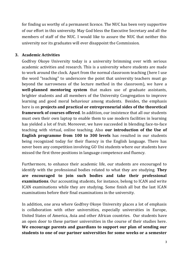for finding us worthy of a permanent licence. The NUC has been very supportive of our effort in this university. May God bless the Executive Secretary and all the members of staff of the NUC. I would like to assure the NUC that neither this university nor its graduates will ever disappoint the Commission.

#### **3. Academic Activities**

Godfrey Okoye University today is a university brimming over with serious academic activities and research. This is a university where students are made to work around the clock. Apart from the normal classroom teaching (here I use the word "teaching" to underscore the point that university teachers must go beyond the narrowness of the lecture method in the classroom), we have a **well-planned mentoring system** that makes use of graduate assistants, brighter students and all members of the University Congregation to improve learning and good moral behaviour among students. Besides, the emphasis here is on **projects and practical or entrepreneurial sides of the theoretical framework of courses offered**. In addition, our insistence that all our students must own their own laptop to enable them to use modern facilities in learning has yielded a lot of fruit. Moreover, we have succeeded in blending face-to-face teaching with virtual, online teaching. Also **our introduction of the Use of English programme from 100 to 300 levels** has resulted in our students being recognized today for their fluency in the English language. There has never been any competition involving GO Uni students where our students have missed the first three positions in language competence and fluency.

Furthermore, to enhance their academic life, our students are encouraged to identify with the professional bodies related to what they are studying. **They are encouraged to join such bodies and take their professional examinations**. Our accounting students, for instance, belong to ICAN and write ICAN examinations while they are studying. Some finish all but the last ICAN examinations before their final examinations in the university.

In addition, one area where Godfrey Okoye University places a lot of emphasis is collaboration with other universities, especially universities in Europe, United States of America, Asia and other African countries. Our students have an open door to these partner universities in the course of their studies here. **We encourage parents and guardians to support our plan of sending our students to one of our partner universities for some weeks or a semester**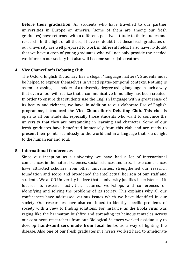**before their graduation**. All students who have travelled to our partner universities in Europe or America (some of them are among our fresh graduates) have returned with a different, positive attitude to their studies and research. In the light of all these, I have no doubt that these fresh graduates of our university are well prepared to work in different fields. I also have no doubt that we have a crop of young graduates who will not only provide the needed workforce in our society but also will become smart job creators.

#### **4. Vice Chancellor's Debating Club**

The Oxford English Dictionary has a slogan "language matters". Students must be helped to express themselves in varied spatio-temporal contexts. Nothing is as embarrassing as a holder of a university degree using language in such a way that even a fool will realize that a communicative blind alley has been created. In order to ensure that students use the English language with a great sense of its beauty and richness, we have, in addition to our elaborate Use of English programme, introduced the **Vice Chancellor's Debating Club**. This club is open to all our students, especially those students who want to convince the university that they are outstanding in learning and character. Some of our fresh graduates have benefitted immensely from this club and are ready to present their points seamlessly to the world and in a language that is a delight to the human ear and soul.

#### **5. International Conferences**

Since our inception as a university we have had a lot of international conferences in the natural sciences, social sciences and arts. These conferences have attracted scholars from other universities, strengthened our research foundation and scope and broadened the intellectual horizon of our staff and students. We at GO University believe that a university justifies its existence if it focuses its research activities, lectures, workshops and conferences on identifying and solving the problems of its society. This explains why all our conferences have addressed various issues which we have identified in our society. Our researches have also continued to identify specific problems of society with a view to finding solutions. For instance, as the Ebola virus was raging like the harmattan bushfire and spreading its heinous tentacles across our continent, researchers from our Biological Sciences worked assiduously to develop **hand-sanitizers made from local herbs** as a way of fighting the disease. Also one of our fresh graduates in Physics worked hard to ameliorate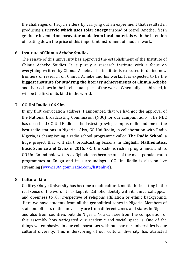the challenges of tricycle riders by carrying out an experiment that resulted in producing a **tricycle which uses solar energy** instead of petrol. Another fresh graduate invented an **excavator made from local materials** with the intention of beating down the price of this important instrument of modern work.

#### **6. Institute of Chinua Achebe Studies**

The senate of this university has approved the establishment of the Institute of Chinua Achebe Studies. It is purely a research institute with a focus on everything written by Chinua Achebe. The institute is expected to define new frontiers of research on Chinua Achebe and his works. It is expected to be the **biggest institute for studying the literary achievements of Chinua Achebe** and their echoes in the intellectual space of the world. When fully established, it will be the first of its kind in the world.

#### **7. GO Uni Radio 106.9fm**

In my first convocation address, I announced that we had got the approval of the National Broadcasting Commission (NBC) for our campus radio. The NBC has described GO Uni Radio as the fastest growing campus radio and one of the best radio stations in Nigeria. Also, GO Uni Radio, in collaboration with Radio Nigeria, is championing a radio school programme called **The Radio School**, a huge project that will start broadcasting lessons in **English, Mathematics, Basic Science and Civics** in 2016.GO Uni Radio is rich in programmes and its GO Uni Roundtable with Alex Ogbodo has become one of the most popular radio programmes at Enugu and its surroundings. GO Uni Radio is also on live streaming [\(www.1069gouniradio.com/listenlive\)](http://www.1069gouniradio.com/listenlive).

#### **8. Cultural Life**

Godfrey Okoye University has become a multicultural, multiethnic setting in the real sense of the word. It has kept its Catholic identity with its universal appeal and openness to all irrespective of religious affiliation or ethnic background. Here we have students from all the geopolitical zones in Nigeria. Members of staff and officers of the university are from different zones and states in Nigeria and also from countries outside Nigeria. You can see from the composition of this assembly how variegated our academic and social space is. One of the things we emphasize in our collaborations with our partner universities is our cultural diversity. This underscoring of our cultural diversity has attracted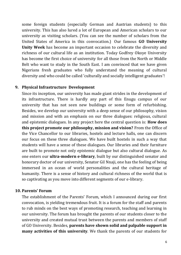some foreign students (especially German and Austrian students) to this university. This has also lured a lot of European and American scholars to our university as visiting scholars. (You can see the number of scholars from the United States of America in this convocation.) Our famous **GO University Unity Week** has become an important occasion to celebrate the diversity and richness of our cultural life as an institution. Today Godfrey Okoye University has become the first choice of university for all those from the North or Middle Belt who want to study in the South East. I am convinced that we have given Nigerians fresh graduates who fully understand the meaning of cultural diversity and who could be called 'culturally and socially intelligent graduates'!

#### **9. Physical Infrastructure Development**

Since its inception, our university has made giant strides in the development of its infrastructure. There is hardly any part of this Enugu campus of our university that has not seen new buildings or some form of refurbishing. Besides, we develop our university with a deep sense of our philosophy, vision and mission and with an emphasis on our three dialogues: religious, cultural and epistemic dialogues. In any project here the central question is: **How does this project promote our philosophy, mission and vision?** From the Office of the Vice Chancellor to our libraries, hostels and lecture halls, one can discern our focus on these three dialogues. We have built hostels in such a way that students will have a sense of these dialogues. Our libraries and their furniture are built to promote not only epistemic dialogue but also cultural dialogue. As one enters our **ultra-modern e-library**, built by our distinguished senator and honorary doctor of our university, Senator Gil Nnaji, one has the feeling of being immersed in an ocean of world personalities and the cultural heritage of humanity. There is a sense of history and cultural richness of the world that is so captivating as you move into different segments of our e-library.

#### **10. Parents' Forum**

The establishment of the Parents' Forum, which I announced during our first convocation, is yielding tremendous fruit. It is a forum for the staff and parents to rub minds on the best ways of promoting research, teaching and learning in our university. The forum has brought the parents of our students closer to the university and created mutual trust between the parents and members of staff of GO University. Besides, **parents have shown solid and palpable support in many activities of this university**. We thank the parents of our students for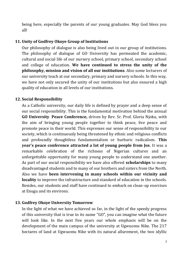being here, especially the parents of our young graduates. May God bless you all!

#### **11. Unity of Godfrey Okoye Group of Institutions**

Our philosophy of dialogue is also being lived out in our group of institutions. The philosophy of dialogue of GO University has permeated the academic, cultural and social life of our nursery school, primary school, secondary school and college of education. **We have continued to stress the unity of the philosophy, mission and vision of all our institutions**. Also some lecturers of our university teach at our secondary, primary and nursery schools. In this way, we have not only secured the unity of our institutions but also ensured a high quality of education in all levels of our institutions.

# **12. Social Responsibility**

As a Catholic university, our daily life is defined by prayer and a deep sense of our social responsibility. This is the fundamental motivation behind the annual **GO University Peace Conference,** driven by Rev. Sr. Prof. Gloria Njoku, with the aim of bringing young people together to think peace, live peace and promote peace in their world. This expresses our sense of responsibility to our society, which is continuously being threatened by ethnic and religious conflicts and profoundly thoughtless fundamentalism or barbaric radicalism. **This year's peace conference attracted a lot of young people from Jos**. It was a remarkable celebration of the richness of Nigerian cultures and an unforgettable opportunity for many young people to understand one another. As part of our social responsibility we have also offered **scholarships** to many disadvantaged students and to many of our brothers and sisters from the North. Also we have **been intervening in many schools within our vicinity and locality** to improve the infrastructure and standard of education in the schools. Besides, our students and staff have continued to embark on clean-up exercises at Enugu and its environs.

## **13. Godfrey Okoye University Tomorrow**

In the light of what we have achieved so far, in the light of the speedy progress of this university that is true to its name "GO", you can imagine what the future will look like. In the next five years our whole emphasis will be on the development of the main campus of the university at Ugwuomu Nike. The 217 hectares of land at Ugwuomu Nike with its natural allurement, the two idyllic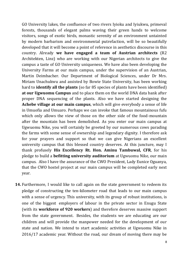GO University lakes, the confluence of two rivers Iyioku and Iyiukwu, primeval forests, thousands of elegant palms waving their green hands to welcome visitors, songs of exotic birds, monastic serenity of an environment untainted by modern barbarism and environmental putrefaction, will be so beautifully developed that it will become a point of reference in aesthetics discourse in this country. Already **we have engaged a team of Austrian architects** (R2 Architekten, Linz) who are working with our Nigerian architects to give the campus a taste of GO University uniqueness. We have also been developing the University Farms at our main campus, under the supervision of an Austrian, Martin Deimbacher. Our Department of Biological Sciences, under Dr Mrs. Miriam Unachukwu and assisted by Bowie State University, has been working hard to **identify all the plants** (so far 85 species of plants have been identified) **at our Ugwuomu Campus** and to place them on the world DNA data bank after proper DNA sequencing of the plants. Also we have started designing the **Achebe village at our main campus**, which will give everybody a sense of life in Umuofia and Umuaro. Perhaps we can invoke that famous mountainous fufu which only allows the view of those on the other side of the food-mountain after the mountain has been demolished. As you enter our main campus at Ugwuomu Nike, you will certainly be greeted by our numerous cows parading the farms with some sense of ownership and legendary dignity. I therefore ask for your prayers and support so that we can give Nigerians an excellent university campus that this blessed country deserves. At this juncture, may I thank profusely **His Excellency Rt. Hon. Aminu Tambuwal, CFR**, for his pledge to build a **befitting university auditorium** at Ugwuomu Nike, our main campus. Also I have the assurance of the CWO President, Lady Eunice Oguanya, that the CWO hostel project at our main campus will be completed early next year.

**14.** Furthermore, I would like to call again on the state government to redeem its pledge of constructing the ten-kilometer road that leads to our main campus with a sense of urgency. This university, with its group of robust institutions, is one of the biggest employers of labour in the private sector in Enugu State (with its **workforce of 920 workers**) and therefore deserves massive support from the state government. Besides, the students we are educating are our children and will provide the manpower needed for the development of our state and nation. We intend to start academic activities at Ugwuomu Nike in 2016/17 academic year. Without the road, our dream of moving there may be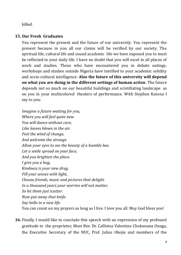killed.

## **15. Our Fresh Graduates**

You represent the present and the future of our university. You represent the present because in you all our claims will be verified by our society. The spiritual life, cultural life and sound academic life we have exposed you to must be reflected in your daily life. I have no doubt that you will excel in all places of work and studies. Those who have encountered you in debate outings, workshops and studies outside Nigeria have testified to your academic solidity and socio-cultural intelligence. **Also the future of this university will depend on what you are doing in the different settings of human action**. The future depends not so much on our beautiful buildings and scintillating landscape as on you in your multicolored theaters of performance. With Stephen Katona I say to you:

*Imagine a future waiting for you, Where you will feel quite new. You will dance without care, Like leaves blown in the air. Feel the wind of change, And welcome the strange. Allow your eyes to see the beauty of a bumble bee. Let a smile spread on your face, And you brighten the place. I give you a hug, Kindness is your new drug. Fill your senses with light, Choose friends, music and pictures that delight. In a thousand years your worries will not matter, So let them just scatter. Now put away that knife. Say hello to a new life.* You can count on my prayers as long as I live. I love you all. May God bless you!

**16.** Finally, I would like to conclude this speech with an expression of my profound gratitude to the proprietor, Most Rev. Dr. Callistus Valentine Chukwuma Onaga, the Executive Secretary of the NUC, Prof. Julius Okojie and members of the